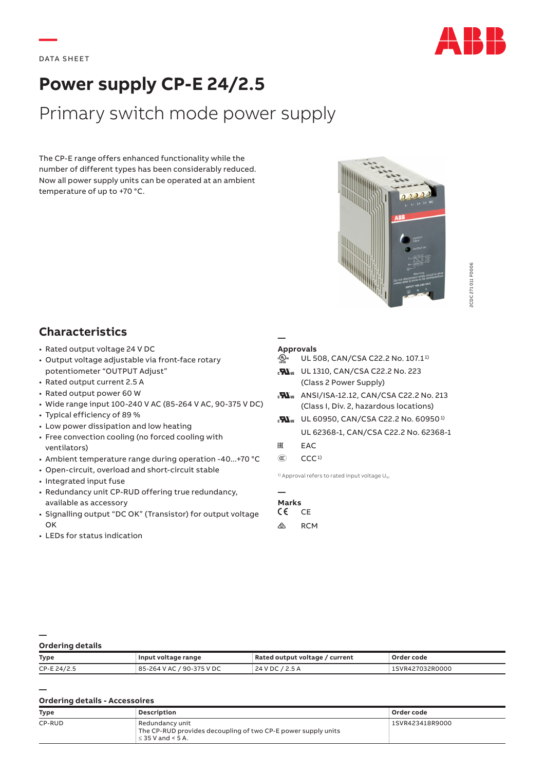**—**



# **Power supply CP-E 24/2.5**

# Primary switch mode power supply

The CP-E range offers enhanced functionality while the number of different types has been considerably reduced. Now all power supply units can be operated at an ambient temperature of up to +70 °C.



## **Characteristics**

- Rated output voltage 24 V DC
- Output voltage adjustable via front-face rotary potentiometer "OUTPUT Adjust"
- Rated output current 2.5 A
- Rated output power 60 W
- Wide range input 100‑240 V AC (85‑264 V AC, 90‑375 V DC)
- Typical efficiency of 89 %
- Low power dissipation and low heating
- Free convection cooling (no forced cooling with ventilators)
- Ambient temperature range during operation ‑40...+70 °C
- Open-circuit, overload and short-circuit stable
- Integrated input fuse
- Redundancy unit CP‑RUD offering true redundancy, available as accessory
- Signalling output "DC OK" (Transistor) for output voltage OK
- LEDs for status indication

### **Approvals**

**—**

- @ UL 508, CAN/CSA C22.2 No. 107.1<sup>1)</sup>
- **M**<sub>us</sub> UL 1310, CAN/CSA C22.2 No. 223 (Class 2 Power Supply)
- **M**<sub>us</sub> ANSI/ISA-12.12, CAN/CSA C22.2 No. 213 (Class I, Div. 2, hazardous locations)
- **M**<sub>us</sub> UL 60950, CAN/CSA C22.2 No. 60950<sup>1)</sup> UL 62368-1, CAN/CSA C22.2 No. 62368-1
- ERE EAC
- $(\mathbb{C})$   $CCC<sup>1</sup>$

<sup>1)</sup> Approval refers to rated input voltage  $U_{\text{in}}$ 

| <b>Marks</b> |     |
|--------------|-----|
| CE           | CF  |
| ∕⊗∖          | RCM |

#### **Ordering details**

**—**

**—**

| <b>Type</b> | Input voltage range       | Rated output voltage / current | Order code     |
|-------------|---------------------------|--------------------------------|----------------|
| CP-E 24/2.5 | 85-264 V AC / 90-375 V DC | 24 V DC / 2.5 A                | SVR427032R0000 |

### **Ordering details - Accessoires**

| Type   | Description                                                                                                | Order code      |
|--------|------------------------------------------------------------------------------------------------------------|-----------------|
| CP-RUD | Redundancy unit<br>The CP-RUD provides decoupling of two CP-E power supply units<br>$\leq$ 35 V and < 5 A. | 1SVR423418R9000 |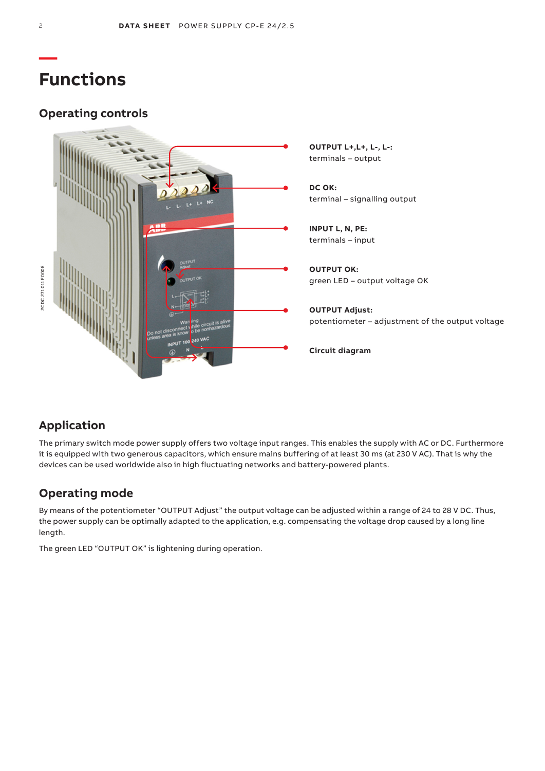# **Functions**

# **Operating controls**



### **Application**

The primary switch mode power supply offers two voltage input ranges. This enables the supply with AC or DC. Furthermore it is equipped with two generous capacitors, which ensure mains buffering of at least 30 ms (at 230 V AC). That is why the devices can be used worldwide also in high fluctuating networks and battery-powered plants.

### **Operating mode**

By means of the potentiometer "OUTPUT Adjust" the output voltage can be adjusted within a range of 24 to 28 V DC. Thus, the power supply can be optimally adapted to the application, e.g. compensating the voltage drop caused by a long line length.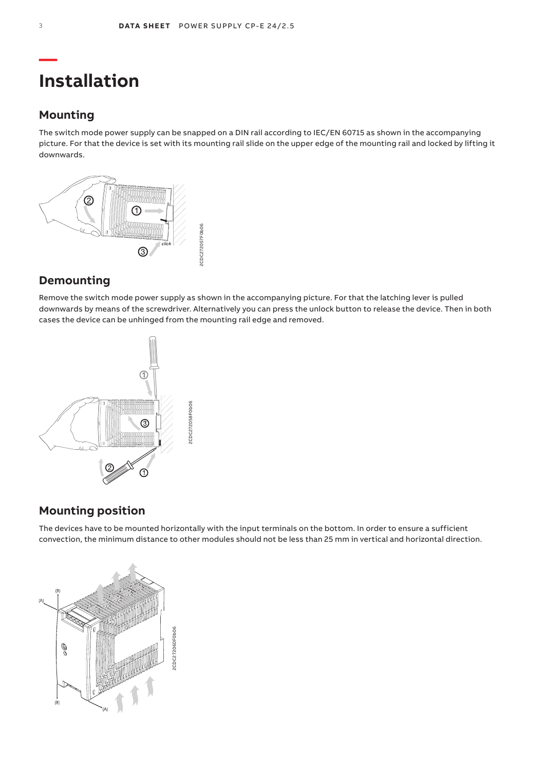# **Installation**

### **Mounting**

The switch mode power supply can be snapped on a DIN rail according to IEC/EN 60715 as shown in the accompanying picture. For that the device is set with its mounting rail slide on the upper edge of the mounting rail and locked by lifting it downwards.



### **Demounting**

Remove the switch mode power supply as shown in the accompanying picture. For that the latching lever is pulled downwards by means of the screwdriver. Alternatively you can press the unlock button to release the device. Then in both cases the device can be unhinged from the mounting rail edge and removed.



### **Mounting position**

The devices have to be mounted horizontally with the input terminals on the bottom. In order to ensure a sufficient convection, the minimum distance to other modules should not be less than 25 mm in vertical and horizontal direction.

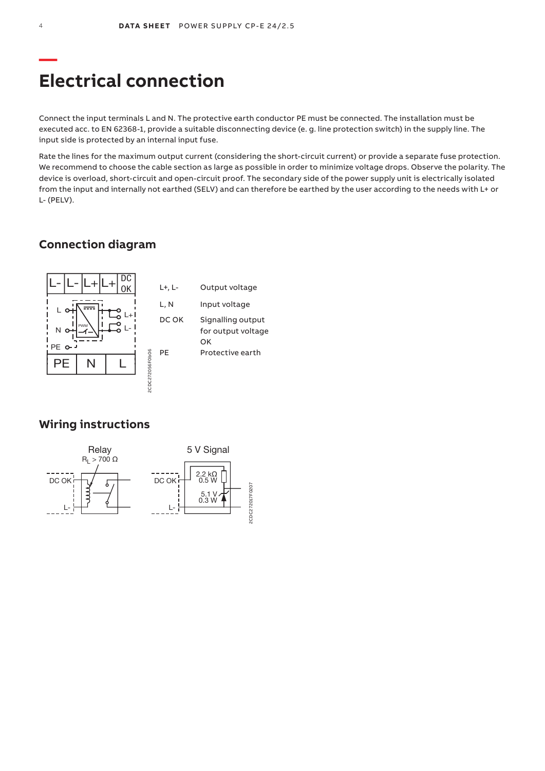# **Electrical connection**

Connect the input terminals L and N. The protective earth conductor PE must be connected. The installation must be executed acc. to EN 62368-1, provide a suitable disconnecting device (e. g. line protection switch) in the supply line. The input side is protected by an internal input fuse.

Rate the lines for the maximum output current (considering the short-circuit current) or provide a separate fuse protection. We recommend to choose the cable section as large as possible in order to minimize voltage drops. Observe the polarity. The device is overload, short-circuit and open-circuit proof. The secondary side of the power supply unit is electrically isolated from the input and internally not earthed (SELV) and can therefore be earthed by the user according to the needs with L+ or L‑ (PELV).

### **Connection diagram**



### **Wiring instructions**

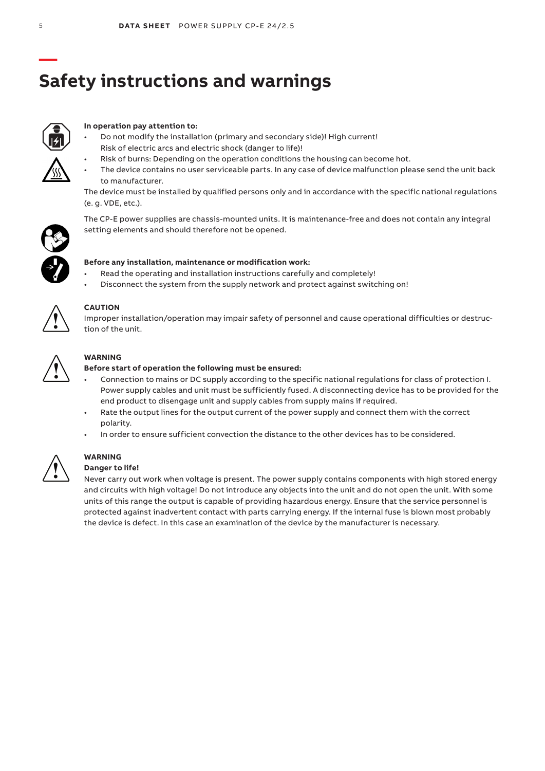# **Safety instructions and warnings**



### **In operation pay attention to:**

- Do not modify the installation (primary and secondary side)! High current! Risk of electric arcs and electric shock (danger to life)!
- Risk of burns: Depending on the operation conditions the housing can become hot.
- The device contains no user serviceable parts. In any case of device malfunction please send the unit back to manufacturer.

The device must be installed by qualified persons only and in accordance with the specific national regulations (e. g. VDE, etc.).



### The CP-E power supplies are chassis-mounted units. It is maintenance-free and does not contain any integral setting elements and should therefore not be opened.



### **Before any installation, maintenance or modification work:**

- Read the operating and installation instructions carefully and completely!
- Disconnect the system from the supply network and protect against switching on!



### **CAUTION**

Improper installation/operation may impair safety of personnel and cause operational difficulties or destruction of the unit.



### **WARNING**

### **Before start of operation the following must be ensured:**

- Connection to mains or DC supply according to the specific national regulations for class of protection I. Power supply cables and unit must be sufficiently fused. A disconnecting device has to be provided for the end product to disengage unit and supply cables from supply mains if required.
- Rate the output lines for the output current of the power supply and connect them with the correct polarity.
- In order to ensure sufficient convection the distance to the other devices has to be considered.



#### **WARNING Danger to life!**

Never carry out work when voltage is present. The power supply contains components with high stored energy and circuits with high voltage! Do not introduce any objects into the unit and do not open the unit. With some units of this range the output is capable of providing hazardous energy. Ensure that the service personnel is protected against inadvertent contact with parts carrying energy. If the internal fuse is blown most probably the device is defect. In this case an examination of the device by the manufacturer is necessary.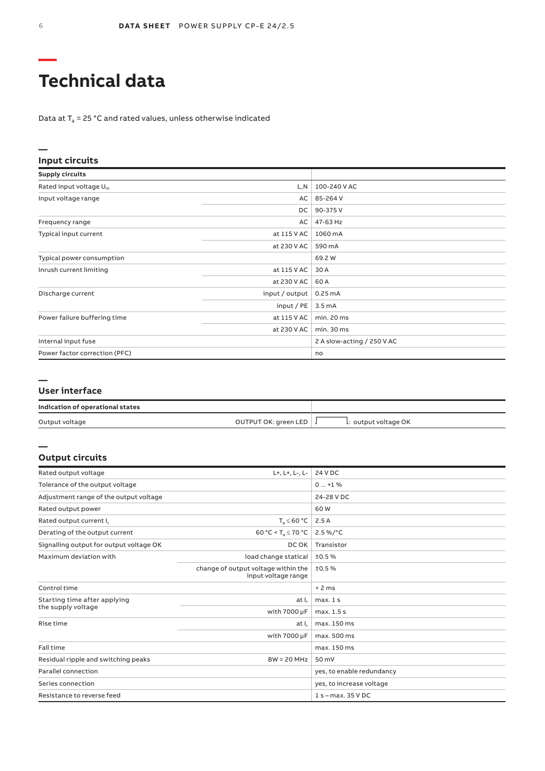# **Technical data**

Data at  $T_a$  = 25 °C and rated values, unless otherwise indicated

| Input circuits                      |                |                            |
|-------------------------------------|----------------|----------------------------|
| <b>Supply circuits</b>              |                |                            |
| Rated input voltage U <sub>in</sub> | L, N           | 100-240 V AC               |
| Input voltage range                 | AC             | 85-264 V                   |
|                                     | DC.            | 90-375V                    |
| Frequency range                     | AC             | 47-63 Hz                   |
| Typical input current               | at 115 V AC    | 1060 mA                    |
|                                     | at 230 V AC    | 590 mA                     |
| Typical power consumption           |                | 69.2 W                     |
| Inrush current limiting             | at 115 V AC    | 30 A                       |
|                                     | at 230 V AC    | 60 A                       |
| Discharge current                   | input / output | $0.25 \text{ mA}$          |
|                                     | input / $PE$   | 3.5 <sub>m</sub> A         |
| Power failure buffering time        | at 115 V AC    | min. 20 ms                 |
|                                     | at 230 V AC    | min. 30 ms                 |
| Internal input fuse                 |                | 2 A slow-acting / 250 V AC |
| Power factor correction (PFC)       |                | no                         |

### **—**

**—** 

#### **User interface**

| Indication of operational states |                          |                      |
|----------------------------------|--------------------------|----------------------|
| Output voltage                   | OUTPUT OK: green LED   J | L: output voltage OK |

### **Output circuits**

| Rated output voltage                    | L+, L+, L-, L-                                             | 24 V DC                   |
|-----------------------------------------|------------------------------------------------------------|---------------------------|
| Tolerance of the output voltage         |                                                            | $0+1$ %                   |
| Adjustment range of the output voltage  |                                                            | 24-28 V DC                |
| Rated output power                      |                                                            | 60 W                      |
| Rated output current I,                 | $T_s \leq 60 °C$                                           | 2.5A                      |
| Derating of the output current          | 60 °C < $T_a \le 70$ °C                                    | $2.5\%$ /°C               |
| Signalling output for output voltage OK | DC OK                                                      | Transistor                |
| Maximum deviation with                  | load change statical                                       | ±0.5%                     |
|                                         | change of output voltage within the<br>input voltage range | ±0.5%                     |
| Control time                            |                                                            | < 2 ms                    |
| Starting time after applying            | at I,                                                      | max.1s                    |
| the supply voltage                      | with 7000 µF                                               | max. 1.5 s                |
| Rise time                               | at I <sub>r</sub>                                          | max. 150 ms               |
|                                         | with 7000 µF                                               | max. 500 ms               |
| Fall time                               |                                                            | max. 150 ms               |
| Residual ripple and switching peaks     | $BW = 20 MHz$                                              | 50 mV                     |
| Parallel connection                     |                                                            | yes, to enable redundancy |
| Series connection                       |                                                            | yes, to increase voltage  |
| Resistance to reverse feed              |                                                            | $1 s - max. 35 VDC$       |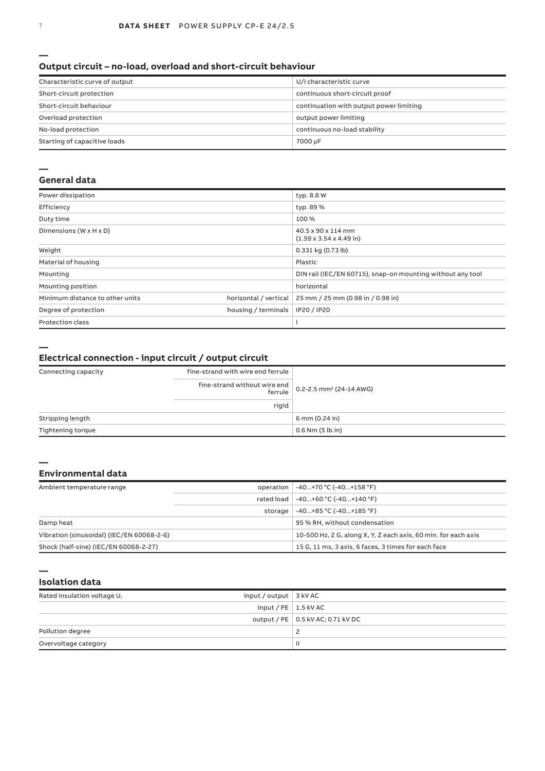#### **Output circuit – no-load, overload and short-circuit behaviour**

| Characteristic curve of output | U/I characteristic curve                |
|--------------------------------|-----------------------------------------|
| Short-circuit protection       | continuous short-circuit proof          |
| Short-circuit behaviour        | continuation with output power limiting |
| Overload protection            | output power limiting                   |
| No-load protection             | continuous no-load stability            |
| Starting of capacitive loads   | 7000 µF                                 |

### **—**

#### **General data**

| Power dissipation                    |                       | typ. 8.8 W                                                 |
|--------------------------------------|-----------------------|------------------------------------------------------------|
| Efficiency                           |                       | typ. 89 %                                                  |
| Duty time                            |                       | 100 %                                                      |
| Dimensions ( $W \times H \times D$ ) |                       | 40.5 x 90 x 114 mm<br>$(1.59 \times 3.54 \times 4.49)$ in  |
| Weight                               |                       | $0.331$ kg $(0.73$ lb)                                     |
| Material of housing                  |                       | Plastic                                                    |
| Mounting                             |                       | DIN rail (IEC/EN 60715), snap-on mounting without any tool |
| Mounting position                    |                       | horizontal                                                 |
| Minimum distance to other units      | horizontal / vertical | 25 mm / 25 mm (0.98 in / 0.98 in)                          |
| Degree of protection                 | housing / terminals   | IP20 / IP20                                                |
| <b>Protection class</b>              |                       |                                                            |
|                                      |                       |                                                            |

**—** 

#### **Electrical connection - input circuit / output circuit**

| Connecting capacity | fine-strand with wire end ferrule                                                                          |                                  |
|---------------------|------------------------------------------------------------------------------------------------------------|----------------------------------|
|                     | fine-strand without wire end $\begin{bmatrix} 0.2 - 2.5 \text{ mm}^2 \\ 24 - 14 \text{ AWG} \end{bmatrix}$ |                                  |
|                     | rigid                                                                                                      |                                  |
| Stripping length    |                                                                                                            | $6 \text{ mm} (0.24 \text{ in})$ |
| Tightening torque   |                                                                                                            | $0.6$ Nm $(5$ lb.in)             |

#### **—**

### **Environmental data**

| Ambient temperature range                 | operation | -40+70 °C (-40+158 °F)                                         |
|-------------------------------------------|-----------|----------------------------------------------------------------|
|                                           |           | rated load   -40+60 °C (-40+140 °F)                            |
|                                           | storage   | $-40+85 °C (-40+185 °F)$                                       |
| Damp heat                                 |           | 95 % RH, without condensation                                  |
| Vibration (sinusoidal) (IEC/EN 60068-2-6) |           | 10-500 Hz, 2 G, along X, Y, Z each axis, 60 min, for each axis |
| Shock (half-sine) (IEC/EN 60068-2-27)     |           | 15 G, 11 ms, 3 axis, 6 faces, 3 times for each face            |

**—** 

| Isolation data |  |
|----------------|--|
|                |  |

| input / output $\vert$ 3 kV AC<br>Rated insulation voltage U <sub>i</sub> |                                     |
|---------------------------------------------------------------------------|-------------------------------------|
| input / PE $\vert$ 1.5 kV AC                                              |                                     |
|                                                                           | output / PE   0.5 kV AC; 0.71 kV DC |
| Pollution degree                                                          |                                     |
| Overvoltage category                                                      |                                     |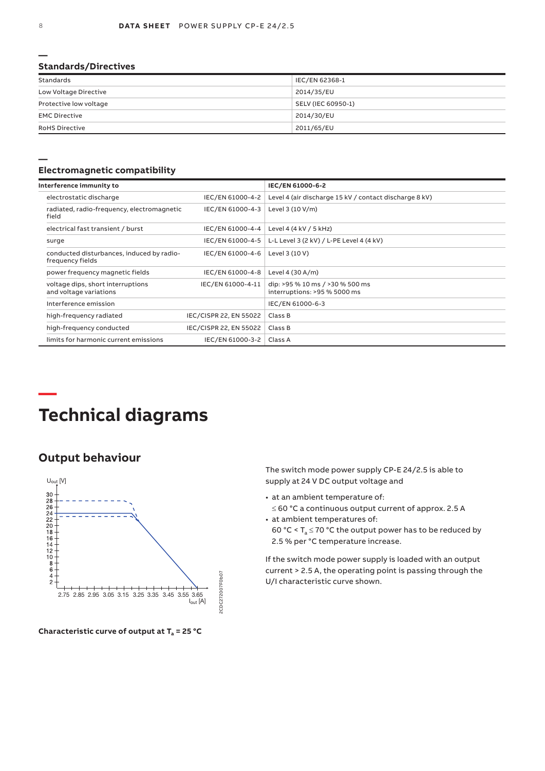### **Standards/Directives**

| Standards              | IEC/EN 62368-1     |
|------------------------|--------------------|
| Low Voltage Directive  | 2014/35/EU         |
| Protective low voltage | SELV (IEC 60950-1) |
| <b>EMC Directive</b>   | 2014/30/EU         |
| <b>RoHS Directive</b>  | 2011/65/EU         |

### **Electromagnetic compatibility**

| Interference immunity to                                      |                        | IEC/EN 61000-6-2                                                |
|---------------------------------------------------------------|------------------------|-----------------------------------------------------------------|
| electrostatic discharge                                       | IEC/EN 61000-4-2       | Level 4 (air discharge 15 kV / contact discharge 8 kV)          |
| radiated, radio-frequency, electromagnetic<br>field           | IEC/EN 61000-4-3       | Level 3 (10 V/m)                                                |
| electrical fast transient / burst                             | IEC/EN 61000-4-4       | Level 4 (4 kV / 5 kHz)                                          |
| surge                                                         | IEC/EN 61000-4-5       | L-L Level 3 (2 kV) / L-PE Level 4 (4 kV)                        |
| conducted disturbances, induced by radio-<br>frequency fields | IEC/EN 61000-4-6       | Level 3 (10 V)                                                  |
| power frequency magnetic fields                               | IEC/EN 61000-4-8       | Level 4 $(30 A/m)$                                              |
| voltage dips, short interruptions<br>and voltage variations   | IEC/EN 61000-4-11      | dip: >95 % 10 ms / >30 % 500 ms<br>interruptions: >95 % 5000 ms |
| Interference emission                                         |                        | IEC/EN 61000-6-3                                                |
| high-frequency radiated                                       | IEC/CISPR 22, EN 55022 | Class B                                                         |
| high-frequency conducted                                      | IEC/CISPR 22, EN 55022 | Class B                                                         |
| limits for harmonic current emissions                         | IEC/EN 61000-3-2       | Class A                                                         |

# **Technical diagrams**

### **Output behaviour**



Characteristic curve of output at T<sub>a</sub> = 25 °C

The switch mode power supply CP‑E 24/2.5 is able to supply at 24 V DC output voltage and

- at an ambient temperature of: ≤ 60 °C a continuous output current of approx. 2.5 A
- at ambient temperatures of: 60 °C <  $T_a \le 70$  °C the output power has to be reduced by 2.5 % per °C temperature increase.

If the switch mode power supply is loaded with an output current > 2.5 A, the operating point is passing through the U/I characteristic curve shown.

**—** 

**—**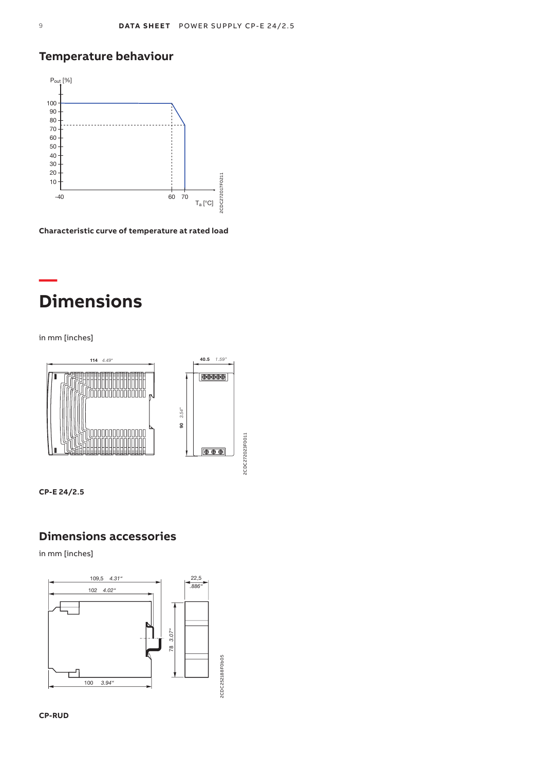### **Temperature behaviour**



**Characteristic curve of temperature at rated load**

# **Dimensions**

in mm [inches]

**—**



**CP-E 24/2.5**

### **Dimensions accessories**

in mm [inches]



**CP-RUD**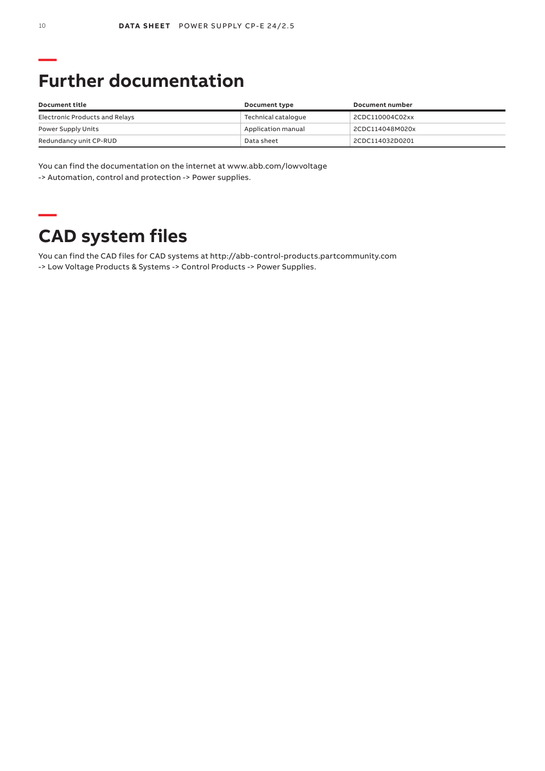# **Further documentation**

| Document title                 | Document type       | Document number |
|--------------------------------|---------------------|-----------------|
| Electronic Products and Relays | Technical catalogue | 2CDC110004C02xx |
| Power Supply Units             | Application manual  | 2CDC114048M020x |
| Redundancy unit CP-RUD         | Data sheet          | 2CDC114032D0201 |

You can find the documentation on the internet at www.abb.com/lowvoltage -> Automation, control and protection -> Power supplies.

# **CAD system files**

You can find the CAD files for CAD systems at http://abb-control-products.partcommunity.com -> Low Voltage Products & Systems -> Control Products -> Power Supplies.

**—**